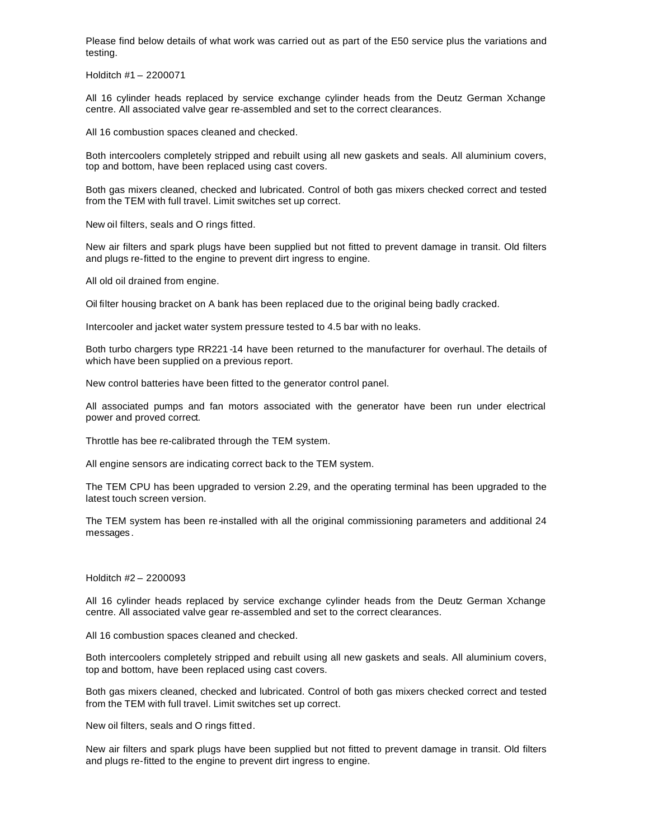Please find below details of what work was carried out as part of the E50 service plus the variations and testing.

Holditch #1 – 2200071

All 16 cylinder heads replaced by service exchange cylinder heads from the Deutz German Xchange centre. All associated valve gear re-assembled and set to the correct clearances.

All 16 combustion spaces cleaned and checked.

Both intercoolers completely stripped and rebuilt using all new gaskets and seals. All aluminium covers, top and bottom, have been replaced using cast covers.

Both gas mixers cleaned, checked and lubricated. Control of both gas mixers checked correct and tested from the TEM with full travel. Limit switches set up correct.

New oil filters, seals and O rings fitted.

New air filters and spark plugs have been supplied but not fitted to prevent damage in transit. Old filters and plugs re-fitted to the engine to prevent dirt ingress to engine.

All old oil drained from engine.

Oil filter housing bracket on A bank has been replaced due to the original being badly cracked.

Intercooler and jacket water system pressure tested to 4.5 bar with no leaks.

Both turbo chargers type RR221 -14 have been returned to the manufacturer for overhaul. The details of which have been supplied on a previous report.

New control batteries have been fitted to the generator control panel.

All associated pumps and fan motors associated with the generator have been run under electrical power and proved correct.

Throttle has bee re-calibrated through the TEM system.

All engine sensors are indicating correct back to the TEM system.

The TEM CPU has been upgraded to version 2.29, and the operating terminal has been upgraded to the latest touch screen version.

The TEM system has been re-installed with all the original commissioning parameters and additional 24 messages .

## Holditch #2 – 2200093

All 16 cylinder heads replaced by service exchange cylinder heads from the Deutz German Xchange centre. All associated valve gear re-assembled and set to the correct clearances.

All 16 combustion spaces cleaned and checked.

Both intercoolers completely stripped and rebuilt using all new gaskets and seals. All aluminium covers, top and bottom, have been replaced using cast covers.

Both gas mixers cleaned, checked and lubricated. Control of both gas mixers checked correct and tested from the TEM with full travel. Limit switches set up correct.

New oil filters, seals and O rings fitted.

New air filters and spark plugs have been supplied but not fitted to prevent damage in transit. Old filters and plugs re-fitted to the engine to prevent dirt ingress to engine.